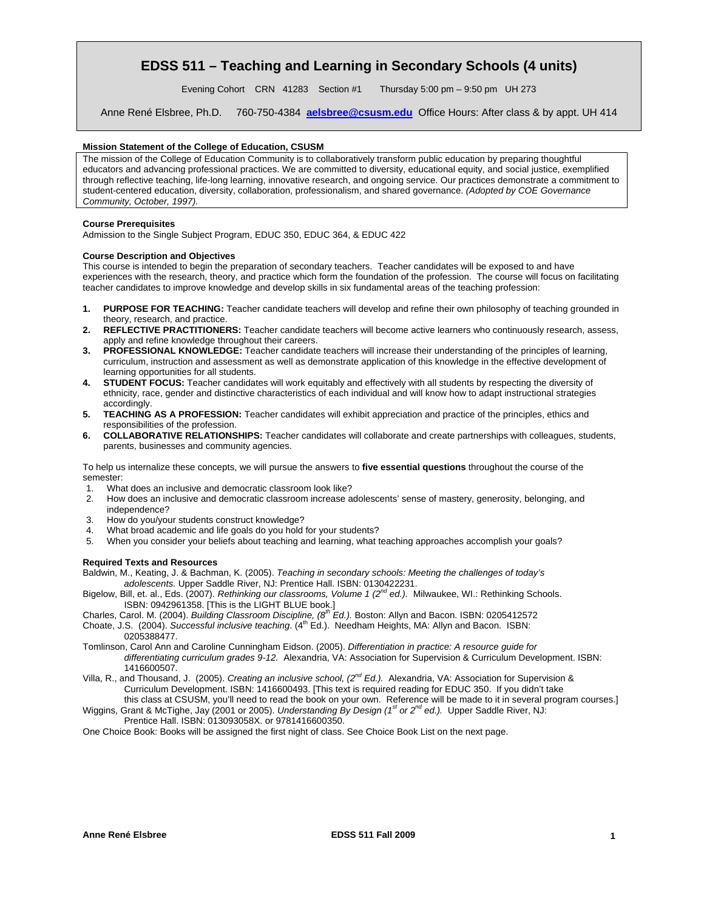# **EDSS 511 – Teaching and Learning in Secondary Schools (4 units)**

Evening Cohort CRN 41283 Section #1 Thursday 5:00 pm – 9:50 pm UH 273

Anne René Elsbree, Ph.D. 760-750-4384 **aelsbree@csusm.edu** Office Hours: After class & by appt. UH 414

# **Mission Statement of the College of Education, CSUSM**

The mission of the College of Education Community is to collaboratively transform public education by preparing thoughtful educators and advancing professional practices. We are committed to diversity, educational equity, and social justice, exemplified through reflective teaching, life-long learning, innovative research, and ongoing service. Our practices demonstrate a commitment to student-centered education, diversity, collaboration, professionalism, and shared governance. *(Adopted by COE Governance Community, October, 1997).* 

### **Course Prerequisites**

Admission to the Single Subject Program, EDUC 350, EDUC 364, & EDUC 422

#### **Course Description and Objectives**

This course is intended to begin the preparation of secondary teachers. Teacher candidates will be exposed to and have experiences with the research, theory, and practice which form the foundation of the profession. The course will focus on facilitating teacher candidates to improve knowledge and develop skills in six fundamental areas of the teaching profession:

- **1. PURPOSE FOR TEACHING:** Teacher candidate teachers will develop and refine their own philosophy of teaching grounded in theory, research, and practice.
- **2. REFLECTIVE PRACTITIONERS:** Teacher candidate teachers will become active learners who continuously research, assess, apply and refine knowledge throughout their careers.
- **3. PROFESSIONAL KNOWLEDGE:** Teacher candidate teachers will increase their understanding of the principles of learning, curriculum, instruction and assessment as well as demonstrate application of this knowledge in the effective development of learning opportunities for all students.
- **4. STUDENT FOCUS:** Teacher candidates will work equitably and effectively with all students by respecting the diversity of ethnicity, race, gender and distinctive characteristics of each individual and will know how to adapt instructional strategies accordingly.
- **5. TEACHING AS A PROFESSION:** Teacher candidates will exhibit appreciation and practice of the principles, ethics and responsibilities of the profession.
- **6. COLLABORATIVE RELATIONSHIPS:** Teacher candidates will collaborate and create partnerships with colleagues, students, parents, businesses and community agencies.

To help us internalize these concepts, we will pursue the answers to **five essential questions** throughout the course of the semester:

- 1. What does an inclusive and democratic classroom look like?
- 2. How does an inclusive and democratic classroom increase adolescents' sense of mastery, generosity, belonging, and independence?
- 3. How do you/your students construct knowledge?
- 4. What broad academic and life goals do you hold for your students?
- 5. When you consider your beliefs about teaching and learning, what teaching approaches accomplish your goals?

#### **Required Texts and Resources**

 Baldwin, M., Keating, J. & Bachman, K. (2005). *Teaching in secondary schools: Meeting the challenges of today's adolescents.* Upper Saddle River, NJ: Prentice Hall. ISBN: 0130422231.

- Bigelow, Bill, et. al., Eds. (2007). *Rethinking our classrooms, Volume 1 (2nd ed.).* Milwaukee, WI.: Rethinking Schools. ISBN: 0942961358. [This is the LIGHT BLUE book.]
- Charles, Carol. M. (2004). *Building Classroom Discipline, (8th Ed.).* Boston: Allyn and Bacon. ISBN: 0205412572
- Choate, J.S. (2004). *Successful inclusive teaching.* (4<sup>th</sup> Ed.). Needham Heights, MA: Allyn and Bacon. ISBN: 0205388477.
- Tomlinson, Carol Ann and Caroline Cunningham Eidson. (2005). *Differentiation in practice: A resource guide for differentiating curriculum grades 9-12.* Alexandria, VA: Association for Supervision & Curriculum Development. ISBN: 1416600507.
- Villa, R., and Thousand, J. (2005). *Creating an inclusive school, (2nd Ed.).* Alexandria, VA: Association for Supervision & Curriculum Development. ISBN: 1416600493. [This text is required reading for EDUC 350. If you didn't take
- this class at CSUSM, you'll need to read the book on your own. Reference will be made to it in several program courses.] Wiggins, Grant & McTighe, Jay (2001 or 2005). *Understanding By Design (1<sup>st</sup> or 2<sup>nd</sup> ed.)*. Upper Saddle River, NJ: Prentice Hall. ISBN: 013093058X. or 9781416600350.
- One Choice Book: Books will be assigned the first night of class. See Choice Book List on the next page.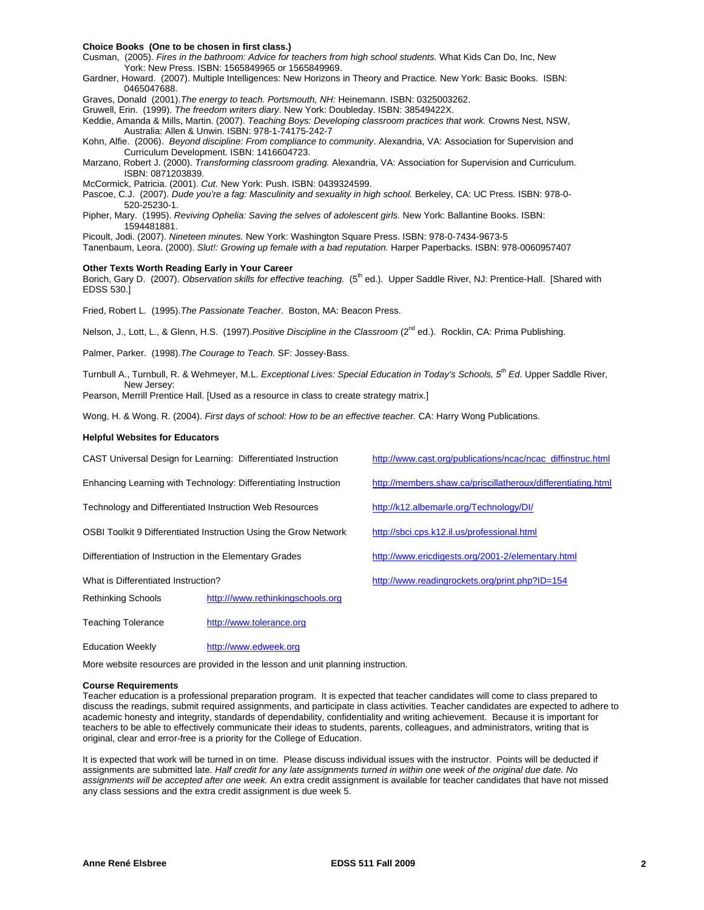#### **Choice Books (One to be chosen in first class.)**

Cusman, (2005). *Fires in the bathroom: Advice for teachers from high school students.* What Kids Can Do, Inc, New York: New Press. ISBN: 1565849965 or 1565849969.

Gardner, Howard. (2007). Multiple Intelligences: New Horizons in Theory and Practice*.* New York: Basic Books. ISBN: 0465047688.

Graves, Donald (2001).*The energy to teach. Portsmouth, NH:* Heinemann. ISBN: 0325003262.

Gruwell, Erin. (1999). *The freedom writers diary*. New York: Doubleday. ISBN: 38549422X.

Keddie, Amanda & Mills, Martin. (2007). *Teaching Boys: Developing classroom practices that work.* Crowns Nest, NSW, Australia: Allen & Unwin. ISBN: 978-1-74175-242-7

Kohn, Alfie. (2006). *Beyond discipline: From compliance to community*. Alexandria, VA: Association for Supervision and Curriculum Development. ISBN: 1416604723.

Marzano, Robert J. (2000). *Transforming classroom grading.* Alexandria, VA: Association for Supervision and Curriculum. ISBN: 0871203839.

McCormick, Patricia. (2001). *Cut.* New York: Push. ISBN: 0439324599.

Pascoe, C.J. (2007). *Dude you're a fag: Masculinity and sexuality in high school.* Berkeley, CA: UC Press. ISBN: 978-0 520-25230-1.

Pipher, Mary. (1995). *Reviving Ophelia: Saving the selves of adolescent girls.* New York: Ballantine Books. ISBN: 1594481881.

Picoult, Jodi. (2007). *Nineteen minutes.* New York: Washington Square Press. ISBN: 978-0-7434-9673-5

Tanenbaum, Leora. (2000). *Slut!: Growing up female with a bad reputation.* Harper Paperbacks. ISBN: 978-0060957407

#### **Other Texts Worth Reading Early in Your Career**

Borich, Gary D. (2007). *Observation skills for effective teaching.* (5<sup>th</sup> ed.). Upper Saddle River, NJ: Prentice-Hall. [Shared with EDSS 530.]

Fried, Robert L. (1995).*The Passionate Teacher*. Boston, MA: Beacon Press.

Nelson, J., Lott, L., & Glenn, H.S. (1997).*Positive Discipline in the Classroom* (2nd ed.). Rocklin, CA: Prima Publishing.

Palmer, Parker. (1998).*The Courage to Teach.* SF: Jossey-Bass.

Turnbull A., Turnbull, R. & Wehmeyer, M.L. *Exceptional Lives: Special Education in Today's Schools, 5th Ed*. Upper Saddle River, New Jersey:

Pearson, Merrill Prentice Hall. [Used as a resource in class to create strategy matrix.]

Wong, H. & Wong. R. (2004). *First days of school: How to be an effective teacher.* CA: Harry Wong Publications.

#### **Helpful Websites for Educators**

|                                                                  | CAST Universal Design for Learning: Differentiated Instruction | http://www.cast.org/publications/ncac/ncac_diffinstruc.html  |  |  |
|------------------------------------------------------------------|----------------------------------------------------------------|--------------------------------------------------------------|--|--|
| Enhancing Learning with Technology: Differentiating Instruction  |                                                                | http://members.shaw.ca/priscillatheroux/differentiating.html |  |  |
| Technology and Differentiated Instruction Web Resources          |                                                                | http://k12.albemarle.org/Technology/DI/                      |  |  |
| OSBI Toolkit 9 Differentiated Instruction Using the Grow Network |                                                                | http://sbci.cps.k12.il.us/professional.html                  |  |  |
| Differentiation of Instruction in the Elementary Grades          |                                                                | http://www.ericdigests.org/2001-2/elementary.html            |  |  |
| What is Differentiated Instruction?                              |                                                                | http://www.readingrockets.org/print.php?ID=154               |  |  |
| <b>Rethinking Schools</b>                                        | http:///www.rethinkingschools.org                              |                                                              |  |  |
| Teaching Tolerance                                               | http://www.tolerance.org                                       |                                                              |  |  |

More website resources are provided in the lesson and unit planning instruction.

Education Weekly http://www.edweek.org

#### **Course Requirements**

original, clear and error-free is a priority for the College of Education. Teacher education is a professional preparation program. It is expected that teacher candidates will come to class prepared to discuss the readings, submit required assignments, and participate in class activities. Teacher candidates are expected to adhere to academic honesty and integrity, standards of dependability, confidentiality and writing achievement. Because it is important for teachers to be able to effectively communicate their ideas to students, parents, colleagues, and administrators, writing that is

It is expected that work will be turned in on time. Please discuss individual issues with the instructor. Points will be deducted if assignments are submitted late. *Half credit for any late assignments turned in within one week of the original due date. No assignments will be accepted after one week.* An extra credit assignment is available for teacher candidates that have not missed any class sessions and the extra credit assignment is due week 5.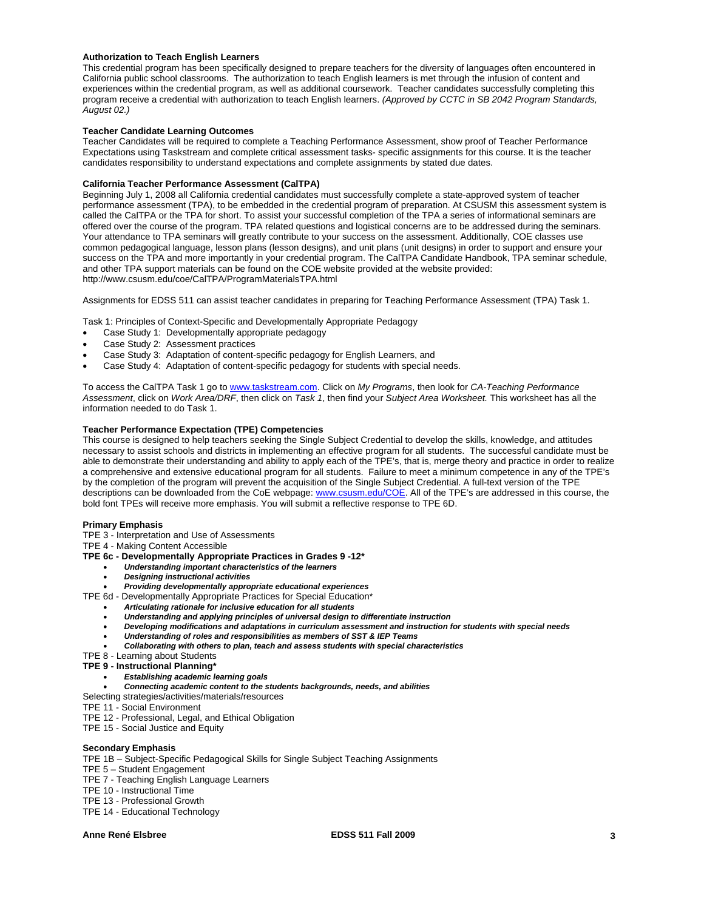# **Authorization to Teach English Learners**

This credential program has been specifically designed to prepare teachers for the diversity of languages often encountered in California public school classrooms. The authorization to teach English learners is met through the infusion of content and experiences within the credential program, as well as additional coursework. Teacher candidates successfully completing this program receive a credential with authorization to teach English learners. *(Approved by CCTC in SB 2042 Program Standards, August 02.)* 

# **Teacher Candidate Learning Outcomes**

Teacher Candidates will be required to complete a Teaching Performance Assessment, show proof of Teacher Performance Expectations using Taskstream and complete critical assessment tasks- specific assignments for this course. It is the teacher candidates responsibility to understand expectations and complete assignments by stated due dates.

## **California Teacher Performance Assessment (CalTPA)**

Beginning July 1, 2008 all California credential candidates must successfully complete a state-approved system of teacher performance assessment (TPA), to be embedded in the credential program of preparation. At CSUSM this assessment system is called the CalTPA or the TPA for short. To assist your successful completion of the TPA a series of informational seminars are offered over the course of the program. TPA related questions and logistical concerns are to be addressed during the seminars. Your attendance to TPA seminars will greatly contribute to your success on the assessment. Additionally, COE classes use common pedagogical language, lesson plans (lesson designs), and unit plans (unit designs) in order to support and ensure your success on the TPA and more importantly in your credential program. The CalTPA Candidate Handbook, TPA seminar schedule, and other TPA support materials can be found on the COE website provided at the website provided: http://www.csusm.edu/coe/CalTPA/ProgramMaterialsTPA.html

Assignments for EDSS 511 can assist teacher candidates in preparing for Teaching Performance Assessment (TPA) Task 1.

Task 1: Principles of Context-Specific and Developmentally Appropriate Pedagogy

- Case Study 1: Developmentally appropriate pedagogy
- Case Study 2: Assessment practices
- Case Study 3: Adaptation of content-specific pedagogy for English Learners, and
- Case Study 4: Adaptation of content-specific pedagogy for students with special needs.

 *Assessment*, click on *Work Area/DRF*, then click on *Task 1*, then find your *Subject Area Worksheet.* This worksheet has all the To access the CalTPA Task 1 go to www.taskstream.com. Click on *My Programs*, then look for *CA-Teaching Performance*  information needed to do Task 1.

# **Teacher Performance Expectation (TPE) Competencies**

This course is designed to help teachers seeking the Single Subject Credential to develop the skills, knowledge, and attitudes necessary to assist schools and districts in implementing an effective program for all students. The successful candidate must be able to demonstrate their understanding and ability to apply each of the TPE's, that is, merge theory and practice in order to realize a comprehensive and extensive educational program for all students. Failure to meet a minimum competence in any of the TPE's by the completion of the program will prevent the acquisition of the Single Subject Credential. A full-text version of the TPE descriptions can be downloaded from the CoE webpage: www.csusm.edu/COE. All of the TPE's are addressed in this course, the bold font TPEs will receive more emphasis. You will submit a reflective response to TPE 6D.

### **Primary Emphasis**

TPE 3 - Interpretation and Use of Assessments

TPE 4 - Making Content Accessible

- **TPE 6c Developmentally Appropriate Practices in Grades 9 -12\*** 
	- *Understanding important characteristics of the learners*
	- *Designing instructional activities*

*Providing developmentally appropriate educational experiences*

- TPE 6d Developmentally Appropriate Practices for Special Education\*
	- *Articulating rationale for inclusive education for all students*
	- *Understanding and applying principles of universal design to differentiate instruction*
	- *Developing modifications and adaptations in curriculum assessment and instruction for students with special needs*
	- *Understanding of roles and responsibilities as members of SST & IEP Teams*
	- *Collaborating with others to plan, teach and assess students with special characteristics*
- TPE 8 Learning about Students
- **TPE 9 Instructional Planning\*** 
	- *Establishing academic learning goals*
	- *Connecting academic content to the students backgrounds, needs, and abilities*
- Selecting strategies/activities/materials/resources
- TPE 11 Social Environment
- TPE 12 Professional, Legal, and Ethical Obligation
- TPE 15 Social Justice and Equity

### **Secondary Emphasis**

- TPE 1B Subject-Specific Pedagogical Skills for Single Subject Teaching Assignments
- TPE 5 Student Engagement
- TPE 7 Teaching English Language Learners
- TPE 10 Instructional Time
- TPE 13 Professional Growth
- TPE 14 Educational Technology

Anne René Elsbree **Anne René Elsbree Business EDSS 511 Fall 2009** 3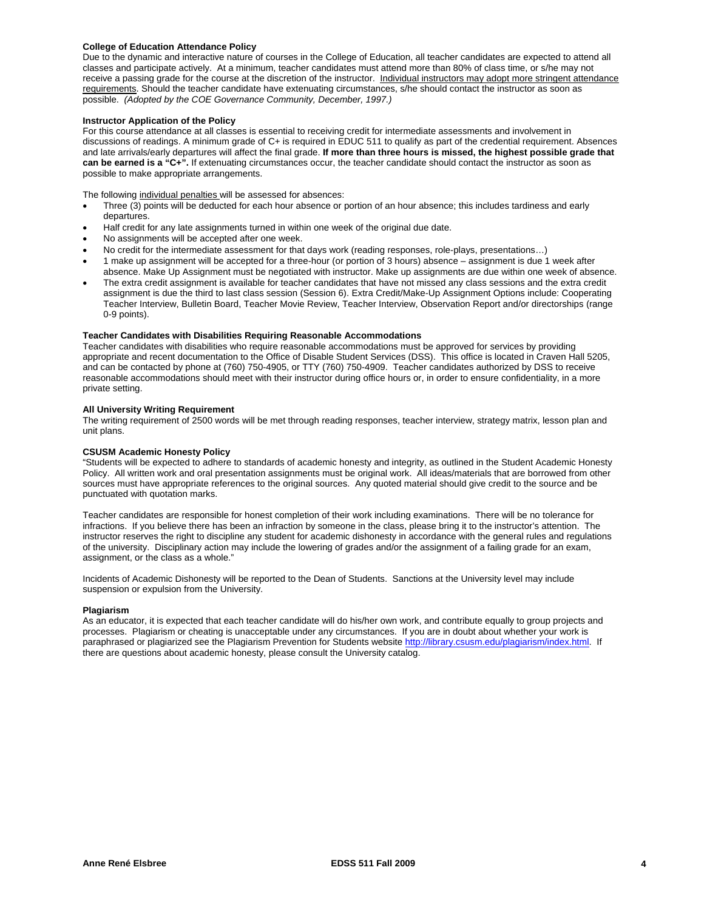# **College of Education Attendance Policy**

 possible. *(Adopted by the COE Governance Community, December, 1997.)* Due to the dynamic and interactive nature of courses in the College of Education, all teacher candidates are expected to attend all classes and participate actively. At a minimum, teacher candidates must attend more than 80% of class time, or s/he may not receive a passing grade for the course at the discretion of the instructor. Individual instructors may adopt more stringent attendance requirements. Should the teacher candidate have extenuating circumstances, s/he should contact the instructor as soon as

# **Instructor Application of the Policy**

For this course attendance at all classes is essential to receiving credit for intermediate assessments and involvement in discussions of readings. A minimum grade of C+ is required in EDUC 511 to qualify as part of the credential requirement. Absences and late arrivals/early departures will affect the final grade. **If more than three hours is missed, the highest possible grade that can be earned is a "C+".** If extenuating circumstances occur, the teacher candidate should contact the instructor as soon as possible to make appropriate arrangements.

The following individual penalties will be assessed for absences:

- Three (3) points will be deducted for each hour absence or portion of an hour absence; this includes tardiness and early departures.
- Half credit for any late assignments turned in within one week of the original due date.
- No assignments will be accepted after one week.
- No credit for the intermediate assessment for that days work (reading responses, role-plays, presentations…)
- 1 make up assignment will be accepted for a three-hour (or portion of 3 hours) absence assignment is due 1 week after absence. Make Up Assignment must be negotiated with instructor. Make up assignments are due within one week of absence.
- The extra credit assignment is available for teacher candidates that have not missed any class sessions and the extra credit assignment is due the third to last class session (Session 6). Extra Credit/Make-Up Assignment Options include: Cooperating Teacher Interview, Bulletin Board, Teacher Movie Review, Teacher Interview, Observation Report and/or directorships (range 0-9 points).

### **Teacher Candidates with Disabilities Requiring Reasonable Accommodations**

Teacher candidates with disabilities who require reasonable accommodations must be approved for services by providing appropriate and recent documentation to the Office of Disable Student Services (DSS). This office is located in Craven Hall 5205, and can be contacted by phone at (760) 750-4905, or TTY (760) 750-4909. Teacher candidates authorized by DSS to receive reasonable accommodations should meet with their instructor during office hours or, in order to ensure confidentiality, in a more private setting.

# **All University Writing Requirement**

The writing requirement of 2500 words will be met through reading responses, teacher interview, strategy matrix, lesson plan and unit plans.

# **CSUSM Academic Honesty Policy**

"Students will be expected to adhere to standards of academic honesty and integrity, as outlined in the Student Academic Honesty Policy. All written work and oral presentation assignments must be original work. All ideas/materials that are borrowed from other sources must have appropriate references to the original sources. Any quoted material should give credit to the source and be punctuated with quotation marks.

Teacher candidates are responsible for honest completion of their work including examinations. There will be no tolerance for infractions. If you believe there has been an infraction by someone in the class, please bring it to the instructor's attention. The instructor reserves the right to discipline any student for academic dishonesty in accordance with the general rules and regulations of the university. Disciplinary action may include the lowering of grades and/or the assignment of a failing grade for an exam, assignment, or the class as a whole."

Incidents of Academic Dishonesty will be reported to the Dean of Students. Sanctions at the University level may include suspension or expulsion from the University.

### **Plagiarism**

As an educator, it is expected that each teacher candidate will do his/her own work, and contribute equally to group projects and processes. Plagiarism or cheating is unacceptable under any circumstances. If you are in doubt about whether your work is paraphrased or plagiarized see the Plagiarism Prevention for Students website http://library.csusm.edu/plagiarism/index.html. If there are questions about academic honesty, please consult the University catalog.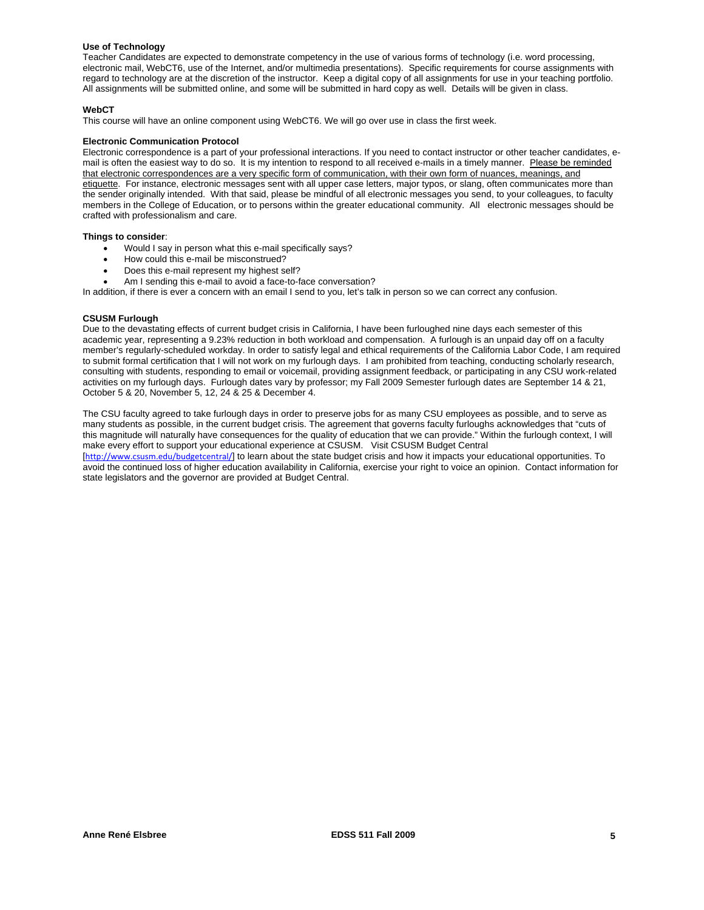# **Use of Technology**

Teacher Candidates are expected to demonstrate competency in the use of various forms of technology (i.e. word processing, electronic mail, WebCT6, use of the Internet, and/or multimedia presentations). Specific requirements for course assignments with regard to technology are at the discretion of the instructor. Keep a digital copy of all assignments for use in your teaching portfolio. All assignments will be submitted online, and some will be submitted in hard copy as well. Details will be given in class.

# **WebCT**

This course will have an online component using WebCT6. We will go over use in class the first week.

#### **Electronic Communication Protocol**

Electronic correspondence is a part of your professional interactions. If you need to contact instructor or other teacher candidates, email is often the easiest way to do so. It is my intention to respond to all received e-mails in a timely manner. Please be reminded that electronic correspondences are a very specific form of communication, with their own form of nuances, meanings, and etiquette. For instance, electronic messages sent with all upper case letters, major typos, or slang, often communicates more than the sender originally intended. With that said, please be mindful of all electronic messages you send, to your colleagues, to faculty members in the College of Education, or to persons within the greater educational community. All electronic messages should be crafted with professionalism and care.

#### **Things to consider**:

- Would I say in person what this e-mail specifically says?
- How could this e-mail be misconstrued?
- Does this e-mail represent my highest self?
- Am I sending this e-mail to avoid a face-to-face conversation?

In addition, if there is ever a concern with an email I send to you, let's talk in person so we can correct any confusion.

# **CSUSM Furlough**

Due to the devastating effects of current budget crisis in California, I have been furloughed nine days each semester of this academic year, representing a 9.23% reduction in both workload and compensation. A furlough is an unpaid day off on a faculty member's regularly-scheduled workday. In order to satisfy legal and ethical requirements of the California Labor Code, I am required to submit formal certification that I will not work on my furlough days. I am prohibited from teaching, conducting scholarly research, consulting with students, responding to email or voicemail, providing assignment feedback, or participating in any CSU work-related activities on my furlough days. Furlough dates vary by professor; my Fall 2009 Semester furlough dates are September 14 & 21, October 5 & 20, November 5, 12, 24 & 25 & December 4.

The CSU faculty agreed to take furlough days in order to preserve jobs for as many CSU employees as possible, and to serve as many students as possible, in the current budget crisis. The agreement that governs faculty furloughs acknowledges that "cuts of this magnitude will naturally have consequences for the quality of education that we can provide." Within the furlough context, I will make every effort to support your educational experience at CSUSM. Visit CSUSM Budget Central

[http://www.csusm.edu/budgetcentral/] to learn about the state budget crisis and how it impacts your educational opportunities. To avoid the continued loss of higher education availability in California, exercise your right to voice an opinion. Contact information for state legislators and the governor are provided at Budget Central.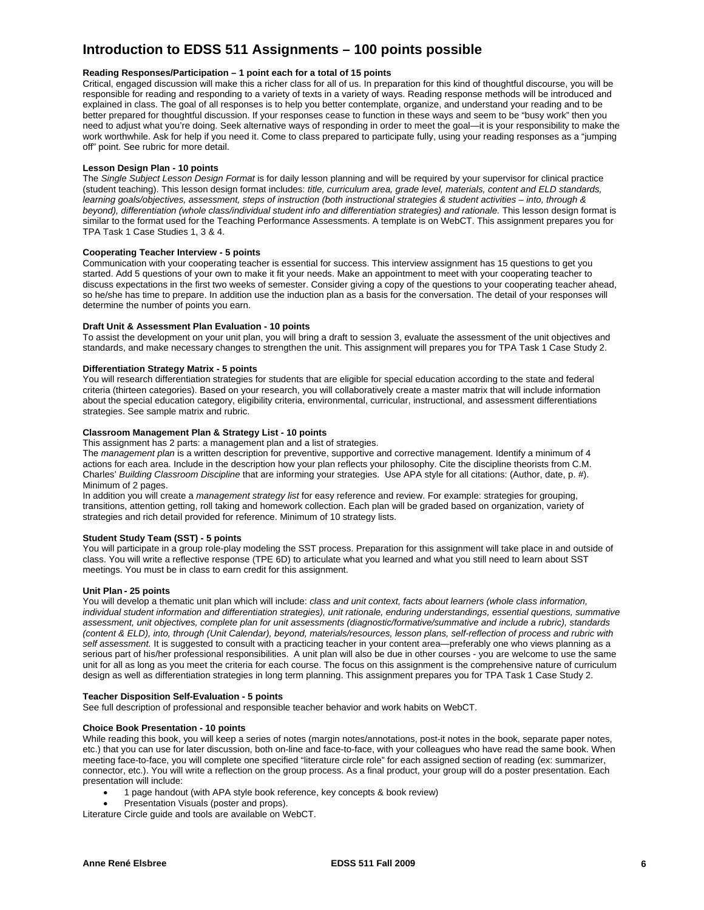# **Introduction to EDSS 511 Assignments – 100 points possible**

# **Reading Responses/Participation – 1 point each for a total of 15 points**

Critical, engaged discussion will make this a richer class for all of us. In preparation for this kind of thoughtful discourse, you will be responsible for reading and responding to a variety of texts in a variety of ways. Reading response methods will be introduced and explained in class. The goal of all responses is to help you better contemplate, organize, and understand your reading and to be better prepared for thoughtful discussion. If your responses cease to function in these ways and seem to be "busy work" then you need to adjust what you're doing. Seek alternative ways of responding in order to meet the goal—it is your responsibility to make the work worthwhile. Ask for help if you need it. Come to class prepared to participate fully, using your reading responses as a "jumping off" point. See rubric for more detail.

# **Lesson Design Plan - 10 points**

The *Single Subject Lesson Design Format* is for daily lesson planning and will be required by your supervisor for clinical practice (student teaching). This lesson design format includes: *title, curriculum area, grade level, materials, content and ELD standards, learning goals/objectives, assessment, steps of instruction (both instructional strategies & student activities – into, through & beyond), differentiation (whole class/individual student info and differentiation strategies) and rationale.* This lesson design format is similar to the format used for the Teaching Performance Assessments. A template is on WebCT. This assignment prepares you for TPA Task 1 Case Studies 1, 3 & 4.

### **Cooperating Teacher Interview - 5 points**

Communication with your cooperating teacher is essential for success. This interview assignment has 15 questions to get you started. Add 5 questions of your own to make it fit your needs. Make an appointment to meet with your cooperating teacher to discuss expectations in the first two weeks of semester. Consider giving a copy of the questions to your cooperating teacher ahead, so he/she has time to prepare. In addition use the induction plan as a basis for the conversation. The detail of your responses will determine the number of points you earn.

### **Draft Unit & Assessment Plan Evaluation - 10 points**

To assist the development on your unit plan, you will bring a draft to session 3, evaluate the assessment of the unit objectives and standards, and make necessary changes to strengthen the unit. This assignment will prepares you for TPA Task 1 Case Study 2.

# **Differentiation Strategy Matrix - 5 points**

You will research differentiation strategies for students that are eligible for special education according to the state and federal criteria (thirteen categories). Based on your research, you will collaboratively create a master matrix that will include information about the special education category, eligibility criteria, environmental, curricular, instructional, and assessment differentiations strategies. See sample matrix and rubric.

# **Classroom Management Plan & Strategy List - 10 points**

This assignment has 2 parts: a management plan and a list of strategies.

The *management plan* is a written description for preventive, supportive and corrective management. Identify a minimum of 4 actions for each area. Include in the description how your plan reflects your philosophy. Cite the discipline theorists from C.M. Charles' *Building Classroom Discipline* that are informing your strategies. Use APA style for all citations: (Author, date, p. #). Minimum of 2 pages.

In addition you will create a *management strategy list* for easy reference and review. For example: strategies for grouping, transitions, attention getting, roll taking and homework collection. Each plan will be graded based on organization, variety of strategies and rich detail provided for reference. Minimum of 10 strategy lists.

### **Student Study Team (SST) - 5 points**

You will participate in a group role-play modeling the SST process. Preparation for this assignment will take place in and outside of class. You will write a reflective response (TPE 6D) to articulate what you learned and what you still need to learn about SST meetings. You must be in class to earn credit for this assignment.

### **Unit Plan - 25 points**

You will develop a thematic unit plan which will include: *class and unit context, facts about learners (whole class information, individual student information and differentiation strategies), unit rationale, enduring understandings, essential questions, summative assessment, unit objectives, complete plan for unit assessments (diagnostic/formative/summative and include a rubric), standards (content & ELD), into, through (Unit Calendar), beyond, materials/resources, lesson plans, self-reflection of process and rubric with self assessment.* It is suggested to consult with a practicing teacher in your content area—preferably one who views planning as a serious part of his/her professional responsibilities. A unit plan will also be due in other courses - you are welcome to use the same unit for all as long as you meet the criteria for each course. The focus on this assignment is the comprehensive nature of curriculum design as well as differentiation strategies in long term planning. This assignment prepares you for TPA Task 1 Case Study 2.

# **Teacher Disposition Self-Evaluation - 5 points**

See full description of professional and responsible teacher behavior and work habits on WebCT.

### **Choice Book Presentation - 10 points**

While reading this book, you will keep a series of notes (margin notes/annotations, post-it notes in the book, separate paper notes, etc.) that you can use for later discussion, both on-line and face-to-face, with your colleagues who have read the same book. When meeting face-to-face, you will complete one specified "literature circle role" for each assigned section of reading (ex: summarizer, connector, etc.). You will write a reflection on the group process. As a final product, your group will do a poster presentation. Each presentation will include:

- 1 page handout (with APA style book reference, key concepts & book review)
- Presentation Visuals (poster and props).

Literature Circle guide and tools are available on WebCT.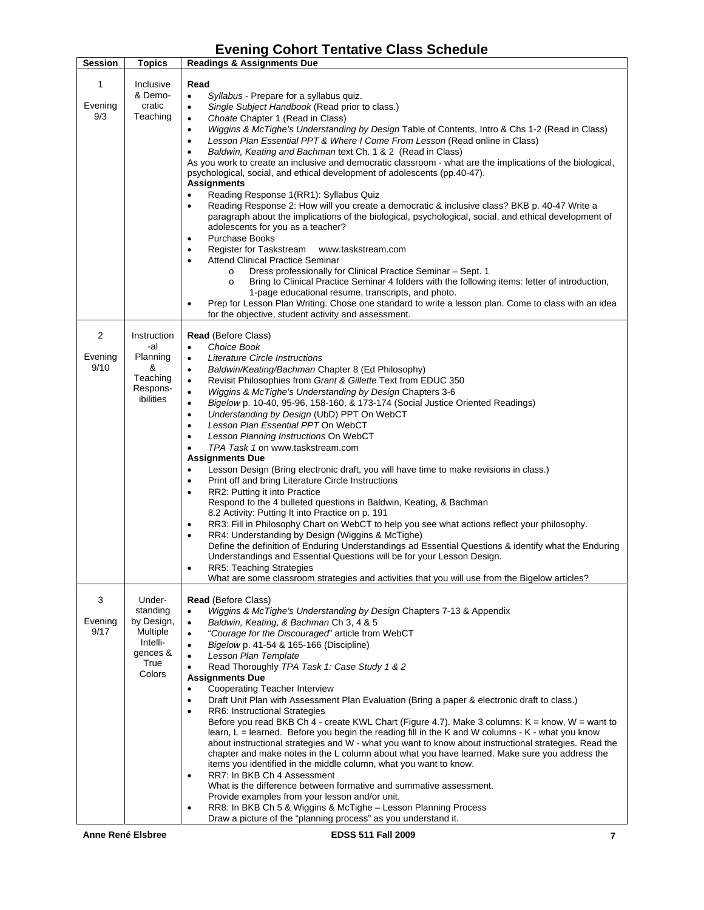# **Evening Cohort Tentative Class Schedule**

| <b>Session</b>       | <b>Topics</b>                                                                          | <b>Readings &amp; Assignments Due</b>                                                                                                                                                                                                                                                                                                                                                                                                                                                                                                                                                                                                                                                                                                                                                                                                                                                                                                                                                                                                                                                                                                                                                                                                                                                                                                                                                                                                                                                                                                       |
|----------------------|----------------------------------------------------------------------------------------|---------------------------------------------------------------------------------------------------------------------------------------------------------------------------------------------------------------------------------------------------------------------------------------------------------------------------------------------------------------------------------------------------------------------------------------------------------------------------------------------------------------------------------------------------------------------------------------------------------------------------------------------------------------------------------------------------------------------------------------------------------------------------------------------------------------------------------------------------------------------------------------------------------------------------------------------------------------------------------------------------------------------------------------------------------------------------------------------------------------------------------------------------------------------------------------------------------------------------------------------------------------------------------------------------------------------------------------------------------------------------------------------------------------------------------------------------------------------------------------------------------------------------------------------|
| 1<br>Evening<br>9/3  | Inclusive<br>& Demo-<br>cratic<br>Teaching                                             | Read<br>$\bullet$<br>Syllabus - Prepare for a syllabus quiz.<br>Single Subject Handbook (Read prior to class.)<br>$\bullet$<br>Choate Chapter 1 (Read in Class)<br>$\bullet$<br>Wiggins & McTighe's Understanding by Design Table of Contents, Intro & Chs 1-2 (Read in Class)<br>$\bullet$<br>Lesson Plan Essential PPT & Where I Come From Lesson (Read online in Class)<br>$\bullet$<br>Baldwin, Keating and Bachman text Ch. 1 & 2 (Read in Class)<br>٠<br>As you work to create an inclusive and democratic classroom - what are the implications of the biological,<br>psychological, social, and ethical development of adolescents (pp.40-47).<br><b>Assignments</b><br>Reading Response 1(RR1): Syllabus Quiz<br>٠<br>Reading Response 2: How will you create a democratic & inclusive class? BKB p. 40-47 Write a<br>$\bullet$<br>paragraph about the implications of the biological, psychological, social, and ethical development of<br>adolescents for you as a teacher?<br><b>Purchase Books</b><br>٠<br>Register for Taskstream<br>www.taskstream.com<br>٠<br><b>Attend Clinical Practice Seminar</b><br>٠<br>Dress professionally for Clinical Practice Seminar – Sept. 1<br>$\circ$<br>Bring to Clinical Practice Seminar 4 folders with the following items: letter of introduction,<br>$\circ$<br>1-page educational resume, transcripts, and photo.<br>Prep for Lesson Plan Writing. Chose one standard to write a lesson plan. Come to class with an idea<br>٠<br>for the objective, student activity and assessment. |
| 2<br>Evening<br>9/10 | Instruction<br>-al<br>Planning<br>&<br>Teaching<br>Respons-<br>ibilities               | <b>Read</b> (Before Class)<br><b>Choice Book</b><br>٠<br>Literature Circle Instructions<br>$\bullet$<br>Baldwin/Keating/Bachman Chapter 8 (Ed Philosophy)<br>$\bullet$<br>Revisit Philosophies from Grant & Gillette Text from EDUC 350<br>$\bullet$<br>Wiggins & McTighe's Understanding by Design Chapters 3-6<br>$\bullet$<br>Bigelow p. 10-40, 95-96, 158-160, & 173-174 (Social Justice Oriented Readings)<br>$\bullet$<br>Understanding by Design (UbD) PPT On WebCT<br>$\bullet$<br>Lesson Plan Essential PPT On WebCT<br>$\bullet$<br>Lesson Planning Instructions On WebCT<br>٠<br>TPA Task 1 on www.taskstream.com<br>$\bullet$<br><b>Assignments Due</b><br>Lesson Design (Bring electronic draft, you will have time to make revisions in class.)<br>$\bullet$<br>Print off and bring Literature Circle Instructions<br>$\bullet$<br>RR2: Putting it into Practice<br>٠<br>Respond to the 4 bulleted questions in Baldwin, Keating, & Bachman<br>8.2 Activity: Putting It into Practice on p. 191<br>RR3: Fill in Philosophy Chart on WebCT to help you see what actions reflect your philosophy.<br>٠<br>RR4: Understanding by Design (Wiggins & McTighe)<br>$\bullet$<br>Define the definition of Enduring Understandings ad Essential Questions & identify what the Enduring<br>Understandings and Essential Questions will be for your Lesson Design.<br><b>RR5: Teaching Strategies</b><br>What are some classroom strategies and activities that you will use from the Bigelow articles?                                  |
| 3<br>Evening<br>9/17 | Under-<br>standing<br>by Design,<br>Multiple<br>Intelli-<br>gences &<br>True<br>Colors | <b>Read</b> (Before Class)<br>Wiggins & McTighe's Understanding by Design Chapters 7-13 & Appendix<br>$\bullet$<br>Baldwin, Keating, & Bachman Ch 3, 4 & 5<br>$\bullet$<br>"Courage for the Discouraged" article from WebCT<br>$\bullet$<br>Bigelow p. 41-54 & 165-166 (Discipline)<br>$\bullet$<br>Lesson Plan Template<br>Read Thoroughly TPA Task 1: Case Study 1 & 2<br>$\bullet$<br><b>Assignments Due</b><br>Cooperating Teacher Interview<br>$\bullet$<br>Draft Unit Plan with Assessment Plan Evaluation (Bring a paper & electronic draft to class.)<br>٠<br>RR6: Instructional Strategies<br>Before you read BKB Ch 4 - create KWL Chart (Figure 4.7). Make 3 columns: $K =$ know, $W =$ want to<br>learn, L = learned. Before you begin the reading fill in the K and W columns - K - what you know<br>about instructional strategies and W - what you want to know about instructional strategies. Read the<br>chapter and make notes in the L column about what you have learned. Make sure you address the<br>items you identified in the middle column, what you want to know.<br>RR7: In BKB Ch 4 Assessment<br>$\bullet$<br>What is the difference between formative and summative assessment.<br>Provide examples from your lesson and/or unit.<br>RR8: In BKB Ch 5 & Wiggins & McTighe - Lesson Planning Process<br>$\bullet$<br>Draw a picture of the "planning process" as you understand it.                                                                                                                          |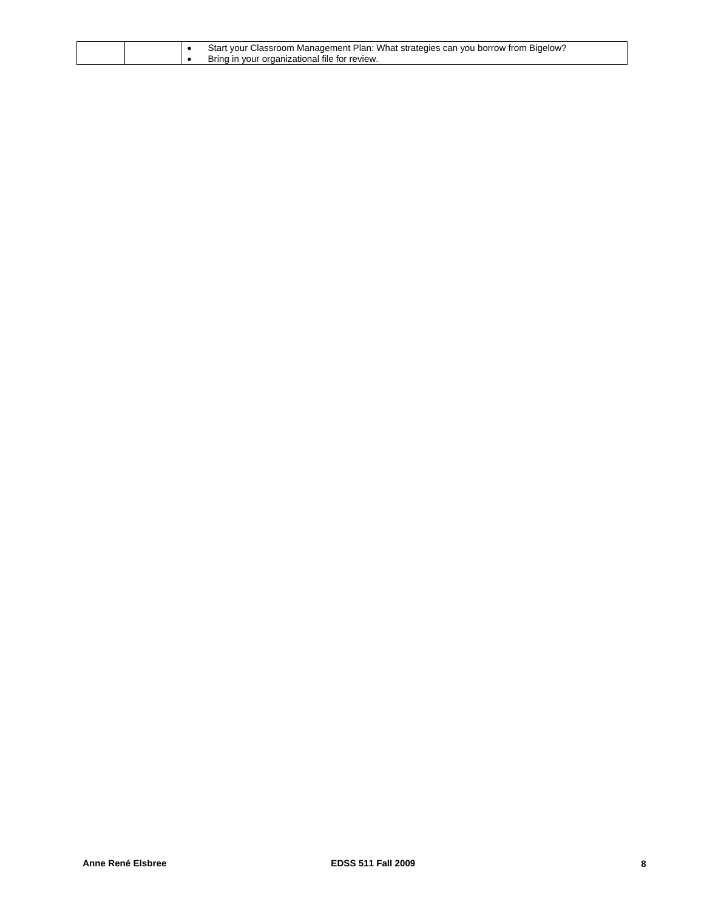|  | Start your Classroom Management Plan: What strategies can you borrow from Bigelow? |
|--|------------------------------------------------------------------------------------|
|  | Bring in your organizational file for review.                                      |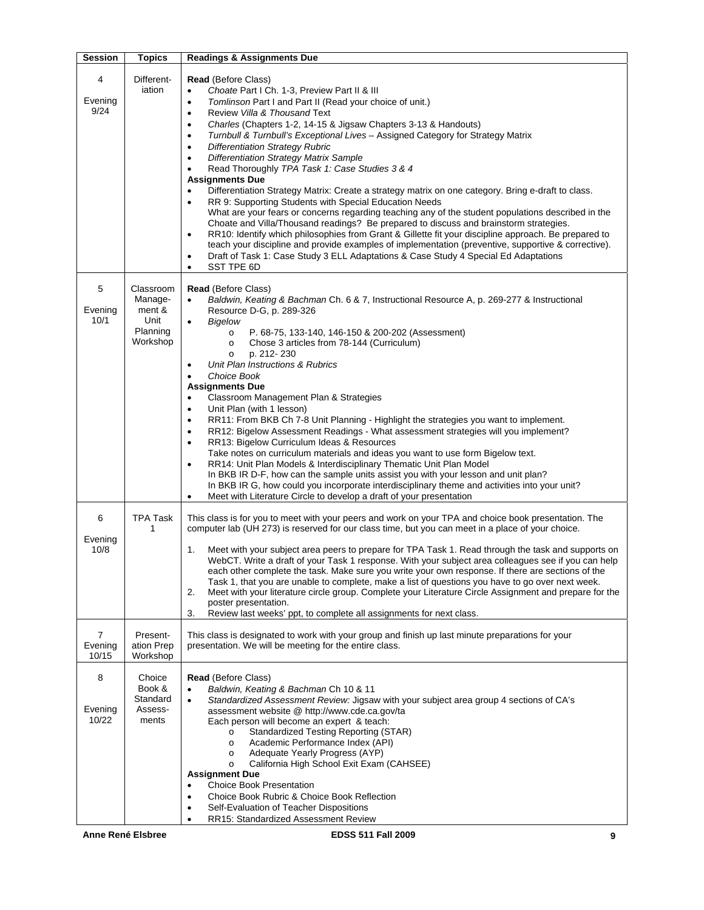| <b>Session</b>                     | <b>Topics</b>                                                  | <b>Readings &amp; Assignments Due</b>                                                                                                                                                                                                                                                                                                                                                                                                                                                                                                                                                                                                                                                                                                                                                                                                                                                                                                                                                                                                                                                                                                                                                                                                                                                                                   |
|------------------------------------|----------------------------------------------------------------|-------------------------------------------------------------------------------------------------------------------------------------------------------------------------------------------------------------------------------------------------------------------------------------------------------------------------------------------------------------------------------------------------------------------------------------------------------------------------------------------------------------------------------------------------------------------------------------------------------------------------------------------------------------------------------------------------------------------------------------------------------------------------------------------------------------------------------------------------------------------------------------------------------------------------------------------------------------------------------------------------------------------------------------------------------------------------------------------------------------------------------------------------------------------------------------------------------------------------------------------------------------------------------------------------------------------------|
| 4<br>Evening<br>9/24               | Different-<br>iation                                           | <b>Read</b> (Before Class)<br>Choate Part I Ch. 1-3, Preview Part II & III<br>$\bullet$<br>Tomlinson Part I and Part II (Read your choice of unit.)<br>$\bullet$<br>Review Villa & Thousand Text<br>٠<br>Charles (Chapters 1-2, 14-15 & Jigsaw Chapters 3-13 & Handouts)<br>$\bullet$<br>Turnbull & Turnbull's Exceptional Lives - Assigned Category for Strategy Matrix<br>$\bullet$<br><b>Differentiation Strategy Rubric</b><br>٠<br><b>Differentiation Strategy Matrix Sample</b><br>$\bullet$<br>Read Thoroughly TPA Task 1: Case Studies 3 & 4<br>٠<br><b>Assignments Due</b><br>Differentiation Strategy Matrix: Create a strategy matrix on one category. Bring e-draft to class.<br>٠<br>RR 9: Supporting Students with Special Education Needs<br>$\bullet$<br>What are your fears or concerns regarding teaching any of the student populations described in the<br>Choate and Villa/Thousand readings? Be prepared to discuss and brainstorm strategies.<br>RR10: Identify which philosophies from Grant & Gillette fit your discipline approach. Be prepared to<br>$\bullet$<br>teach your discipline and provide examples of implementation (preventive, supportive & corrective).<br>Draft of Task 1: Case Study 3 ELL Adaptations & Case Study 4 Special Ed Adaptations<br>٠<br>SST TPE 6D<br>$\bullet$ |
| 5<br>Evening<br>10/1               | Classroom<br>Manage-<br>ment &<br>Unit<br>Planning<br>Workshop | <b>Read</b> (Before Class)<br>Baldwin, Keating & Bachman Ch. 6 & 7, Instructional Resource A, p. 269-277 & Instructional<br>Resource D-G, p. 289-326<br><b>Bigelow</b><br>$\bullet$<br>P. 68-75, 133-140, 146-150 & 200-202 (Assessment)<br>$\circ$<br>Chose 3 articles from 78-144 (Curriculum)<br>$\circ$<br>p. 212-230<br>$\circ$<br>Unit Plan Instructions & Rubrics<br>$\bullet$<br>Choice Book<br>٠<br><b>Assignments Due</b><br>Classroom Management Plan & Strategies<br>$\bullet$<br>Unit Plan (with 1 lesson)<br>$\bullet$<br>RR11: From BKB Ch 7-8 Unit Planning - Highlight the strategies you want to implement.<br>$\bullet$<br>RR12: Bigelow Assessment Readings - What assessment strategies will you implement?<br>$\bullet$<br>RR13: Bigelow Curriculum Ideas & Resources<br>$\bullet$<br>Take notes on curriculum materials and ideas you want to use form Bigelow text.<br>RR14: Unit Plan Models & Interdisciplinary Thematic Unit Plan Model<br>$\bullet$<br>In BKB IR D-F, how can the sample units assist you with your lesson and unit plan?<br>In BKB IR G, how could you incorporate interdisciplinary theme and activities into your unit?<br>Meet with Literature Circle to develop a draft of your presentation<br>$\bullet$                                                              |
| 6<br>Evening<br>10/8               | TPA Task<br>1                                                  | This class is for you to meet with your peers and work on your TPA and choice book presentation. The<br>computer lab (UH 273) is reserved for our class time, but you can meet in a place of your choice.<br>Meet with your subject area peers to prepare for TPA Task 1. Read through the task and supports on<br>1.<br>WebCT. Write a draft of your Task 1 response. With your subject area colleagues see if you can help<br>each other complete the task. Make sure you write your own response. If there are sections of the<br>Task 1, that you are unable to complete, make a list of questions you have to go over next week.<br>Meet with your literature circle group. Complete your Literature Circle Assignment and prepare for the<br>2.<br>poster presentation.<br>Review last weeks' ppt, to complete all assignments for next class.<br>3.                                                                                                                                                                                                                                                                                                                                                                                                                                                              |
| $\overline{7}$<br>Evening<br>10/15 | Present-<br>ation Prep<br>Workshop                             | This class is designated to work with your group and finish up last minute preparations for your<br>presentation. We will be meeting for the entire class.                                                                                                                                                                                                                                                                                                                                                                                                                                                                                                                                                                                                                                                                                                                                                                                                                                                                                                                                                                                                                                                                                                                                                              |
| 8<br>Evening<br>10/22              | Choice<br>Book &<br>Standard<br>Assess-<br>ments               | <b>Read (Before Class)</b><br>Baldwin, Keating & Bachman Ch 10 & 11<br>$\bullet$<br>Standardized Assessment Review: Jigsaw with your subject area group 4 sections of CA's<br>$\bullet$<br>assessment website @ http://www.cde.ca.gov/ta<br>Each person will become an expert & teach:<br>Standardized Testing Reporting (STAR)<br>$\circ$<br>Academic Performance Index (API)<br>$\circ$<br>Adequate Yearly Progress (AYP)<br>$\circ$<br>California High School Exit Exam (CAHSEE)<br>$\circ$<br><b>Assignment Due</b><br><b>Choice Book Presentation</b><br>$\bullet$<br>Choice Book Rubric & Choice Book Reflection<br>$\bullet$<br>Self-Evaluation of Teacher Dispositions<br>٠<br>RR15: Standardized Assessment Review<br>٠                                                                                                                                                                                                                                                                                                                                                                                                                                                                                                                                                                                        |
|                                    | <b>Anne René Elsbree</b>                                       | <b>EDSS 511 Fall 2009</b><br>9                                                                                                                                                                                                                                                                                                                                                                                                                                                                                                                                                                                                                                                                                                                                                                                                                                                                                                                                                                                                                                                                                                                                                                                                                                                                                          |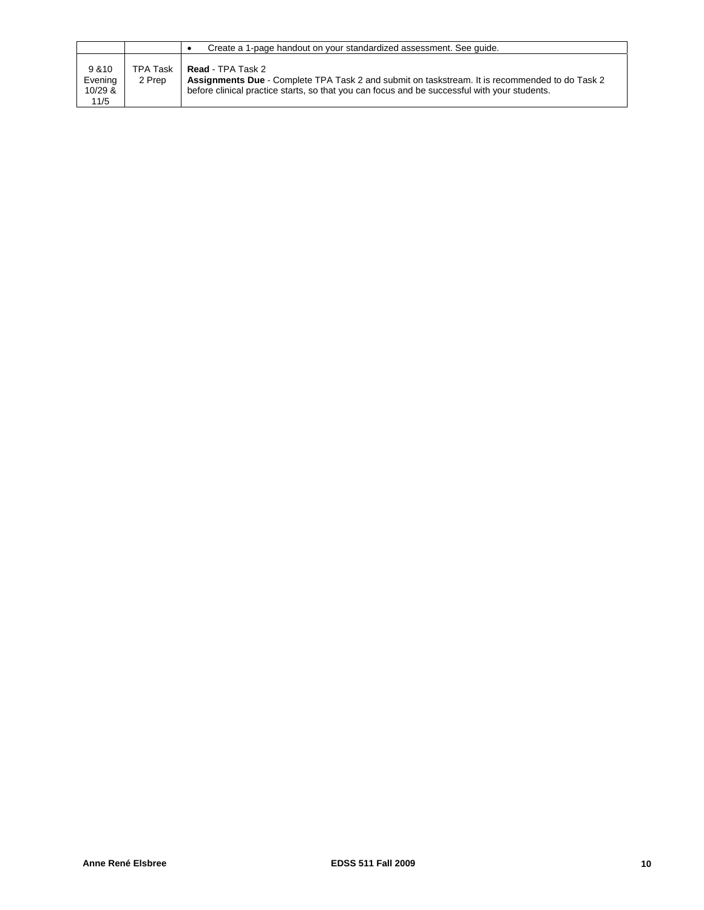|                                        |                           | Create a 1-page handout on your standardized assessment. See quide.                                                                                                                                                        |
|----------------------------------------|---------------------------|----------------------------------------------------------------------------------------------------------------------------------------------------------------------------------------------------------------------------|
| 9 & 10<br>Evening<br>$10/29$ &<br>11/5 | <b>TPA Task</b><br>2 Prep | <b>Read - TPA Task 2</b><br>Assignments Due - Complete TPA Task 2 and submit on taskstream. It is recommended to do Task 2<br>before clinical practice starts, so that you can focus and be successful with your students. |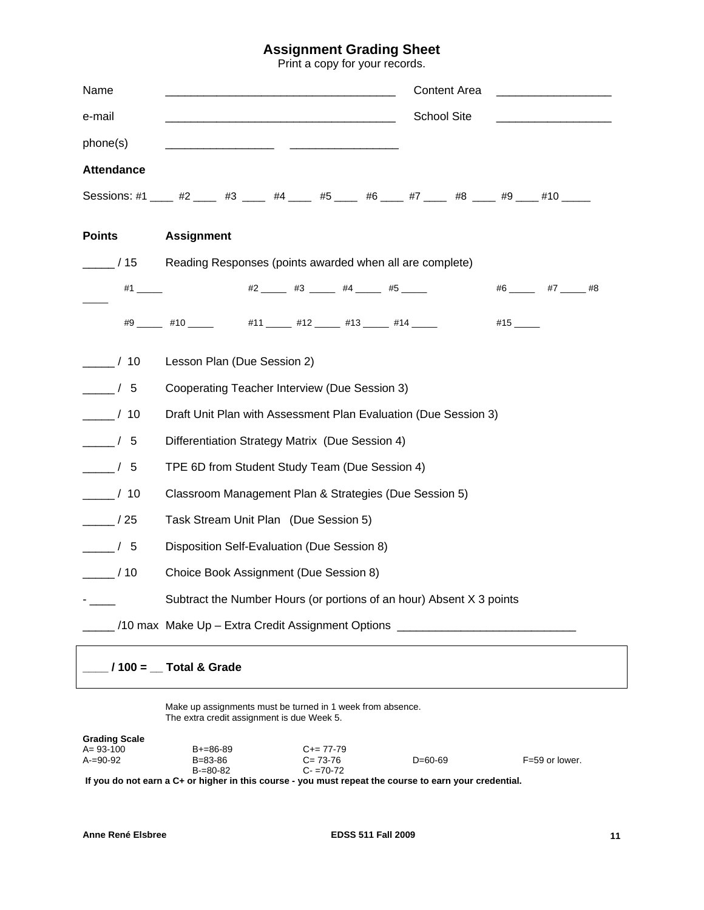# **Assignment Grading Sheet**

Print a copy for your records.

| Name                       | Content Area                                                                                    |  |  |  |  |
|----------------------------|-------------------------------------------------------------------------------------------------|--|--|--|--|
| e-mail                     | School Site<br><u> 1989 - Johann Stein, fransk politik (f. 1989)</u>                            |  |  |  |  |
| phone(s)                   |                                                                                                 |  |  |  |  |
| <b>Attendance</b>          |                                                                                                 |  |  |  |  |
|                            | Sessions: #1 ____ #2 _____ #3 _____ #4 _____ #5 _____ #6 ____ #7 ____ #8 ____ #9 ____ #10 _____ |  |  |  |  |
| <b>Points</b>              | <b>Assignment</b>                                                                               |  |  |  |  |
| $\frac{1}{15}$             | Reading Responses (points awarded when all are complete)                                        |  |  |  |  |
|                            | $#6$ $#7$ $#8$                                                                                  |  |  |  |  |
|                            | #9 _____ #10 _____ #11 ____ #12 ____ #13 ____ #14 ____<br>#15 ______                            |  |  |  |  |
| $\frac{1}{\sqrt{10}}$ / 10 | Lesson Plan (Due Session 2)                                                                     |  |  |  |  |
| $\frac{1}{\sqrt{5}}$       | Cooperating Teacher Interview (Due Session 3)                                                   |  |  |  |  |
| $\frac{1}{\sqrt{10}}$ / 10 | Draft Unit Plan with Assessment Plan Evaluation (Due Session 3)                                 |  |  |  |  |
| $\frac{1}{\sqrt{5}}$       | Differentiation Strategy Matrix (Due Session 4)                                                 |  |  |  |  |
| $\frac{1}{\sqrt{5}}$       | TPE 6D from Student Study Team (Due Session 4)                                                  |  |  |  |  |
| $\frac{1}{\sqrt{10}}$ / 10 | Classroom Management Plan & Strategies (Due Session 5)                                          |  |  |  |  |
| $\frac{\ }{\ }$ / 25       | Task Stream Unit Plan (Due Session 5)                                                           |  |  |  |  |
| $\frac{\ }{\ }$ / 5        | Disposition Self-Evaluation (Due Session 8)                                                     |  |  |  |  |
| $\frac{1}{2}$ / 10         | Choice Book Assignment (Due Session 8)                                                          |  |  |  |  |
|                            | Subtract the Number Hours (or portions of an hour) Absent X 3 points                            |  |  |  |  |
|                            | /10 max Make Up - Extra Credit Assignment Options ______________________________                |  |  |  |  |
|                            | $/100 =$ Total & Grade                                                                          |  |  |  |  |

Make up assignments must be turned in 1 week from absence. The extra credit assignment is due Week 5.

| <b>Grading Scale</b> |                 |                     |           |                  |
|----------------------|-----------------|---------------------|-----------|------------------|
| $A = 93 - 100$       | $B + = 86 - 89$ | $C_{\pm} = 77 - 79$ |           |                  |
| $A=90-92$            | $B = 83 - 86$   | $C = 73-76$         | $D=60-69$ | $F=59$ or lower. |
|                      | $B = 80 - 82$   | $C - 70 - 72$       |           |                  |
|                      |                 |                     |           |                  |

**If you do not earn a C+ or higher in this course - you must repeat the course to earn your credential.**